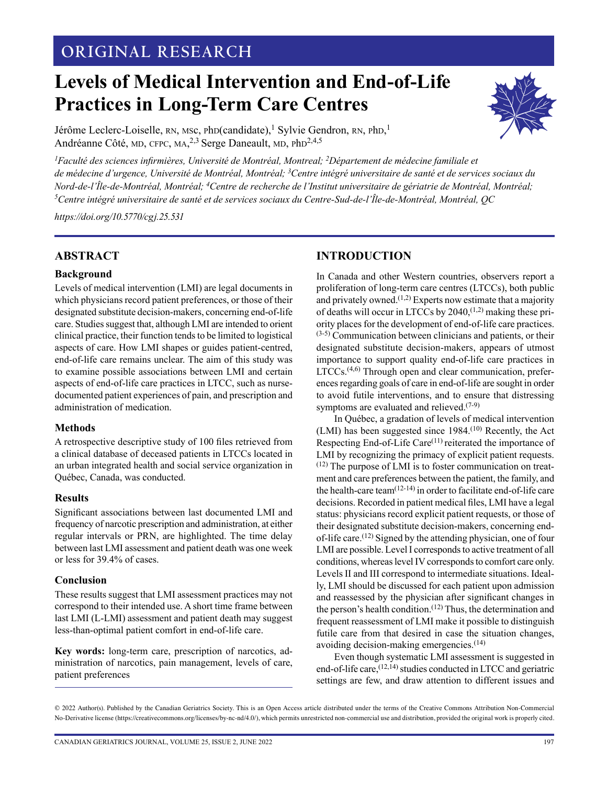## **ORIGINAL RESEARCH**

# **Levels of Medical Intervention and End-of-Life Practices in Long-Term Care Centres**



Jérôme Leclerc-Loiselle, RN, MSc, PhD(candidate),<sup>1</sup> Sylvie Gendron, RN, PhD,<sup>1</sup> Andréanne Côté, MD, CFPC, MA,<sup>2,3</sup> Serge Daneault, MD, PhD<sup>2,4,5</sup>

<sup>1</sup> Faculté des sciences infirmières, Université de Montréal, Montreal; <sup>2</sup>Département de médecine familiale et *de médecine d'urgence, Université de Montréal, Montréal; <sup>3</sup>Centre intégré universitaire de santé et de services sociaux du Nord-de-l'Île-de-Montréal, Montréal; <sup>4</sup>Centre de recherche de l'Institut universitaire de gériatrie de Montréal, Montréal; <sup>5</sup>Centre intégré universitaire de santé et de services sociaux du Centre-Sud-de-l'Île-de-Montréal, Montréal, QC*

*<https://doi.org/10.5770/cgj.25.531>*

#### **ABSTRACT**

#### **Background**

Levels of medical intervention (LMI) are legal documents in which physicians record patient preferences, or those of their designated substitute decision-makers, concerning end-of-life care. Studies suggest that, although LMI are intended to orient clinical practice, their function tends to be limited to logistical aspects of care. How LMI shapes or guides patient-centred, end-of-life care remains unclear. The aim of this study was to examine possible associations between LMI and certain aspects of end-of-life care practices in LTCC, such as nursedocumented patient experiences of pain, and prescription and administration of medication.

#### **Methods**

A retrospective descriptive study of 100 files retrieved from a clinical database of deceased patients in LTCCs located in an urban integrated health and social service organization in Québec, Canada, was conducted.

#### **Results**

Significant associations between last documented LMI and frequency of narcotic prescription and administration, at either regular intervals or PRN, are highlighted. The time delay between last LMI assessment and patient death was one week or less for 39.4% of cases.

#### **Conclusion**

These results suggest that LMI assessment practices may not correspond to their intended use. A short time frame between last LMI (L-LMI) assessment and patient death may suggest less-than-optimal patient comfort in end-of-life care.

**Key words:** long-term care, prescription of narcotics, administration of narcotics, pain management, levels of care, patient preferences

## **INTRODUCTION**

In Canada and other Western countries, observers report a proliferation of long-term care centres (LTCCs), both public and privately owned.<sup> $(1,2)$ </sup> Experts now estimate that a majority of deaths will occur in LTCCs by  $2040$ ,  $(1,2)$  making these priority places for the development of end-of-life care practices. (3-5) Communication between clinicians and patients, or their designated substitute decision-makers, appears of utmost importance to support quality end-of-life care practices in  $LTCCs$ .<sup> $(4,6)$ </sup> Through open and clear communication, preferences regarding goals of care in end-of-life are sought in order to avoid futile interventions, and to ensure that distressing symptoms are evaluated and relieved. $(7-9)$ 

In Québec, a gradation of levels of medical intervention (LMI) has been suggested since 1984.(10) Recently, the Act Respecting End-of-Life Care $(11)$  reiterated the importance of LMI by recognizing the primacy of explicit patient requests.  $(12)$  The purpose of LMI is to foster communication on treatment and care preferences between the patient, the family, and the health-care team $(12-14)$  in order to facilitate end-of-life care decisions. Recorded in patient medical files, LMI have a legal status: physicians record explicit patient requests, or those of their designated substitute decision-makers, concerning endof-life care.(12) Signed by the attending physician, one of four LMI are possible. Level I corresponds to active treatment of all conditions, whereas level IV corresponds to comfort care only. Levels II and III correspond to intermediate situations. Ideally, LMI should be discussed for each patient upon admission and reassessed by the physician after significant changes in the person's health condition.<sup>(12)</sup> Thus, the determination and frequent reassessment of LMI make it possible to distinguish futile care from that desired in case the situation changes, avoiding decision-making emergencies.(14)

Even though systematic LMI assessment is suggested in end-of-life care,<sup>(12,14)</sup> studies conducted in LTCC and geriatric settings are few, and draw attention to different issues and

<sup>© 2022</sup> Author(s). Published by the Canadian Geriatrics Society. This is an Open Access article distributed under the terms of the Creative Commons Attribution Non-Commercial No-Derivative license (https://creativecommons.org/licenses/by-nc-nd/4.0/), which permits unrestricted non-commercial use and distribution, provided the original work is properly cited.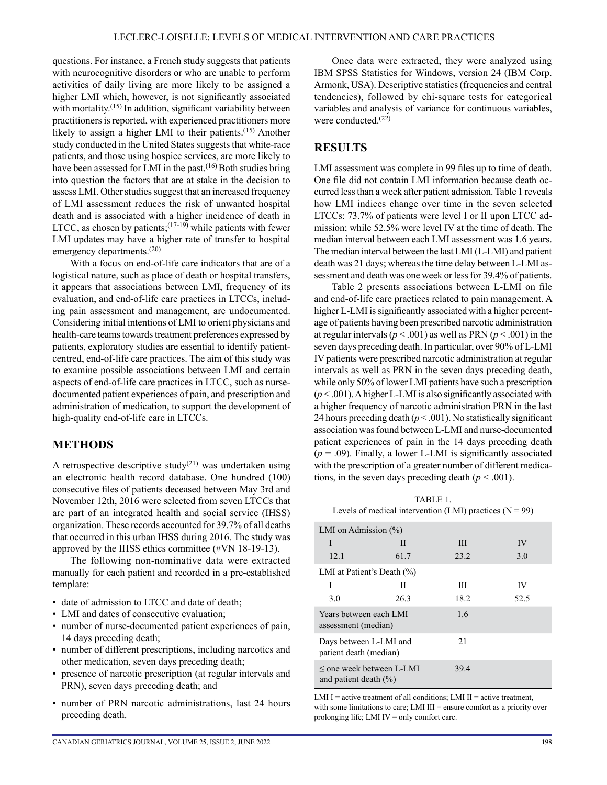questions. For instance, a French study suggests that patients with neurocognitive disorders or who are unable to perform activities of daily living are more likely to be assigned a higher LMI which, however, is not significantly associated with mortality.<sup>(15)</sup> In addition, significant variability between practitioners is reported, with experienced practitioners more likely to assign a higher LMI to their patients.<sup>(15)</sup> Another study conducted in the United States suggests that white-race patients, and those using hospice services, are more likely to have been assessed for LMI in the past. $(16)$  Both studies bring into question the factors that are at stake in the decision to assess LMI. Other studies suggest that an increased frequency of LMI assessment reduces the risk of unwanted hospital death and is associated with a higher incidence of death in LTCC, as chosen by patients;  $(17-19)$  while patients with fewer LMI updates may have a higher rate of transfer to hospital emergency departments.<sup>(20)</sup>

With a focus on end-of-life care indicators that are of a logistical nature, such as place of death or hospital transfers, it appears that associations between LMI, frequency of its evaluation, and end-of-life care practices in LTCCs, including pain assessment and management, are undocumented. Considering initial intentions of LMI to orient physicians and health-care teams towards treatment preferences expressed by patients, exploratory studies are essential to identify patientcentred, end-of-life care practices. The aim of this study was to examine possible associations between LMI and certain aspects of end-of-life care practices in LTCC, such as nursedocumented patient experiences of pain, and prescription and administration of medication, to support the development of high-quality end-of-life care in LTCCs.

#### **METHODS**

A retrospective descriptive study<sup>(21)</sup> was undertaken using an electronic health record database. One hundred (100) consecutive files of patients deceased between May 3rd and November 12th, 2016 were selected from seven LTCCs that are part of an integrated health and social service (IHSS) organization. These records accounted for 39.7% of all deaths that occurred in this urban IHSS during 2016. The study was approved by the IHSS ethics committee (#VN 18-19-13).

The following non-nominative data were extracted manually for each patient and recorded in a pre-established template:

- date of admission to LTCC and date of death;
- LMI and dates of consecutive evaluation;
- number of nurse-documented patient experiences of pain, 14 days preceding death;
- number of different prescriptions, including narcotics and other medication, seven days preceding death;
- presence of narcotic prescription (at regular intervals and PRN), seven days preceding death; and
- number of PRN narcotic administrations, last 24 hours preceding death.

Once data were extracted, they were analyzed using IBM SPSS Statistics for Windows, version 24 (IBM Corp. Armonk, USA). Descriptive statistics (frequencies and central tendencies), followed by chi-square tests for categorical variables and analysis of variance for continuous variables, were conducted.(22)

#### **RESULTS**

LMI assessment was complete in 99 files up to time of death. One file did not contain LMI information because death occurred less than a week after patient admission. Table 1 reveals how LMI indices change over time in the seven selected LTCCs: 73.7% of patients were level I or II upon LTCC admission; while 52.5% were level IV at the time of death. The median interval between each LMI assessment was 1.6 years. The median interval between the last LMI (L-LMI) and patient death was 21 days; whereas the time delay between L-LMI assessment and death was one week or less for 39.4% of patients.

Table 2 presents associations between L-LMI on file and end-of-life care practices related to pain management. A higher L-LMI is significantly associated with a higher percentage of patients having been prescribed narcotic administration at regular intervals (*p* < .001) as well as PRN (*p* < .001) in the seven days preceding death. In particular, over 90% of L-LMI IV patients were prescribed narcotic administration at regular intervals as well as PRN in the seven days preceding death, while only 50% of lower LMI patients have such a prescription  $(p<.001)$ . A higher L-LMI is also significantly associated with a higher frequency of narcotic administration PRN in the last 24 hours preceding death  $(p < .001)$ . No statistically significant association was found between L-LMI and nurse-documented patient experiences of pain in the 14 days preceding death  $(p = .09)$ . Finally, a lower L-LMI is significantly associated with the prescription of a greater number of different medications, in the seven days preceding death  $(p < .001)$ .

TABLE 1. Levels of medical intervention (LMI) practices ( $N = 99$ )

| LMI on Admission $(\% )$                                 |      |      |      |  |  |  |  |  |
|----------------------------------------------------------|------|------|------|--|--|--|--|--|
| I                                                        | Н    | Ш    | IV   |  |  |  |  |  |
| 12.1                                                     | 61.7 | 23.2 | 3.0  |  |  |  |  |  |
| LMI at Patient's Death $(\% )$                           |      |      |      |  |  |  |  |  |
| I                                                        | Н    | Ш    | IV   |  |  |  |  |  |
| 3.0                                                      | 26.3 | 18.2 | 52.5 |  |  |  |  |  |
| Years between each LMI<br>assessment (median)            |      | 1.6  |      |  |  |  |  |  |
| Days between L-LMI and<br>patient death (median)         |      | 21   |      |  |  |  |  |  |
| $\le$ one week between L-LMI<br>and patient death $(\%)$ |      | 39.4 |      |  |  |  |  |  |

LMI I = active treatment of all conditions; LMI II = active treatment, with some limitations to care; LMI III = ensure comfort as a priority over prolonging life; LMI IV = only comfort care.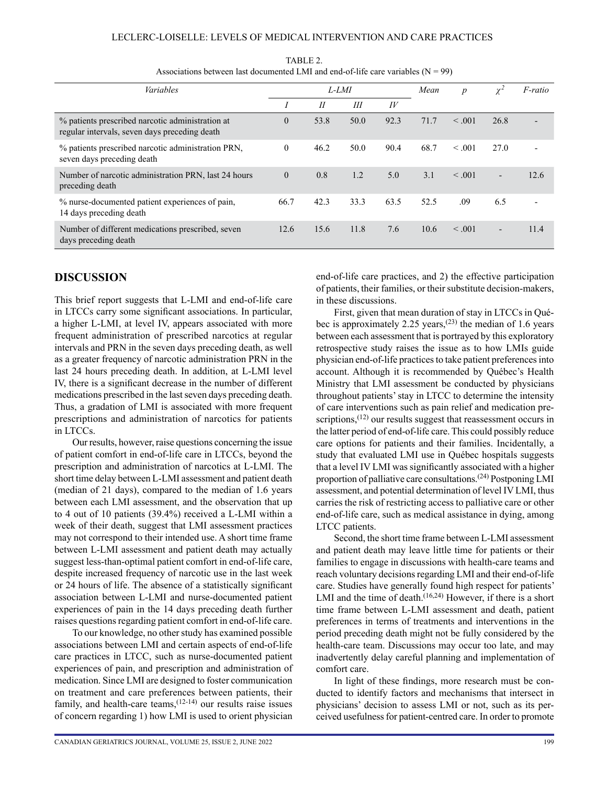#### LECLERC-LOISELLE: LEVELS OF MEDICAL INTERVENTION AND CARE PRACTICES

| Variables                                                                                         |          | L-LMI         |      |            |      | $\boldsymbol{p}$ | $\chi^2$                 | <i>F-ratio</i> |
|---------------------------------------------------------------------------------------------------|----------|---------------|------|------------|------|------------------|--------------------------|----------------|
|                                                                                                   |          | $\mathcal{I}$ | III  | $I\bar{V}$ |      |                  |                          |                |
| % patients prescribed narcotic administration at<br>regular intervals, seven days preceding death |          | 53.8          | 50.0 | 92.3       | 71.7 | < 0.01           | 26.8                     |                |
| % patients prescribed narcotic administration PRN,<br>seven days preceding death                  | $\theta$ | 46.2          | 50.0 | 90.4       | 68.7 | < 0.01           | 27.0                     |                |
| Number of narcotic administration PRN, last 24 hours<br>preceding death                           |          | 0.8           | 1.2  | 5.0        | 3.1  | < 0.01           | $\overline{a}$           | 12.6           |
| % nurse-documented patient experiences of pain,<br>14 days preceding death                        |          | 42.3          | 33.3 | 63.5       | 52.5 | .09              | 6.5                      |                |
| Number of different medications prescribed, seven<br>days preceding death                         |          | 15.6          | 11.8 | 7.6        | 10.6 | $\leq .001$      | $\overline{\phantom{a}}$ | 11.4           |

TABLE 2. Associations between last documented LMI and end-of-life care variables  $(N = 99)$ 

### **DISCUSSION**

This brief report suggests that L-LMI and end-of-life care in LTCCs carry some significant associations. In particular, a higher L-LMI, at level IV, appears associated with more frequent administration of prescribed narcotics at regular intervals and PRN in the seven days preceding death, as well as a greater frequency of narcotic administration PRN in the last 24 hours preceding death. In addition, at L-LMI level IV, there is a significant decrease in the number of different medications prescribed in the last seven days preceding death. Thus, a gradation of LMI is associated with more frequent prescriptions and administration of narcotics for patients in LTCCs.

Our results, however, raise questions concerning the issue of patient comfort in end-of-life care in LTCCs, beyond the prescription and administration of narcotics at L-LMI. The short time delay between L-LMI assessment and patient death (median of 21 days), compared to the median of 1.6 years between each LMI assessment, and the observation that up to 4 out of 10 patients (39.4%) received a L-LMI within a week of their death, suggest that LMI assessment practices may not correspond to their intended use. A short time frame between L-LMI assessment and patient death may actually suggest less-than-optimal patient comfort in end-of-life care, despite increased frequency of narcotic use in the last week or 24 hours of life. The absence of a statistically significant association between L-LMI and nurse-documented patient experiences of pain in the 14 days preceding death further raises questions regarding patient comfort in end-of-life care.

To our knowledge, no other study has examined possible associations between LMI and certain aspects of end-of-life care practices in LTCC, such as nurse-documented patient experiences of pain, and prescription and administration of medication. Since LMI are designed to foster communication on treatment and care preferences between patients, their family, and health-care teams,(12-14) our results raise issues of concern regarding 1) how LMI is used to orient physician end-of-life care practices, and 2) the effective participation of patients, their families, or their substitute decision-makers, in these discussions.

First, given that mean duration of stay in LTCCs in Québec is approximately 2.25 years,<sup> $(23)$ </sup> the median of 1.6 years between each assessment that is portrayed by this exploratory retrospective study raises the issue as to how LMIs guide physician end-of-life practices to take patient preferences into account. Although it is recommended by Québec's Health Ministry that LMI assessment be conducted by physicians throughout patients' stay in LTCC to determine the intensity of care interventions such as pain relief and medication prescriptions,<sup>(12)</sup> our results suggest that reassessment occurs in the latter period of end-of-life care. This could possibly reduce care options for patients and their families. Incidentally, a study that evaluated LMI use in Québec hospitals suggests that a level IV LMI was significantly associated with a higher proportion of palliative care consultations.(24) Postponing LMI assessment, and potential determination of level IV LMI, thus carries the risk of restricting access to palliative care or other end-of-life care, such as medical assistance in dying, among LTCC patients.

Second, the short time frame between L-LMI assessment and patient death may leave little time for patients or their families to engage in discussions with health-care teams and reach voluntary decisions regarding LMI and their end-of-life care. Studies have generally found high respect for patients' LMI and the time of death. $(16,24)$  However, if there is a short time frame between L-LMI assessment and death, patient preferences in terms of treatments and interventions in the period preceding death might not be fully considered by the health-care team. Discussions may occur too late, and may inadvertently delay careful planning and implementation of comfort care.

In light of these findings, more research must be conducted to identify factors and mechanisms that intersect in physicians' decision to assess LMI or not, such as its perceived usefulness for patient-centred care. In order to promote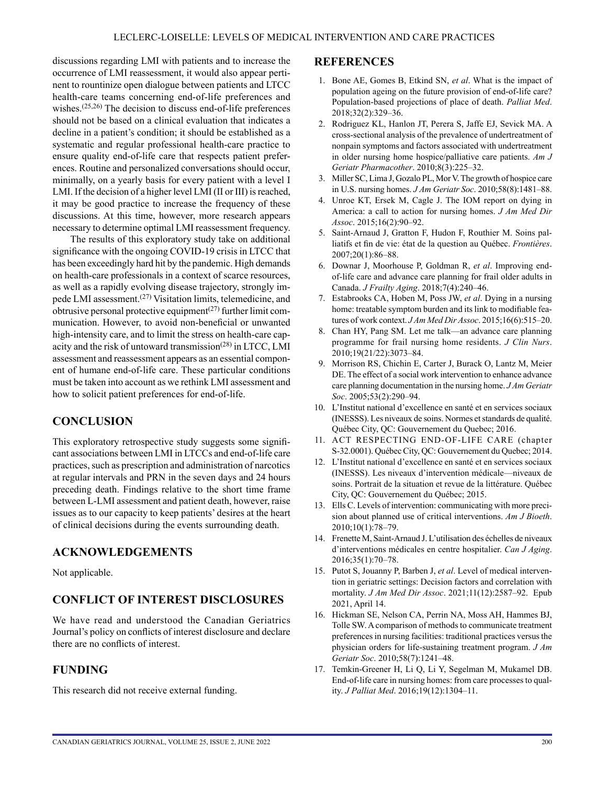discussions regarding LMI with patients and to increase the occurrence of LMI reassessment, it would also appear pertinent to rountinize open dialogue between patients and LTCC health-care teams concerning end-of-life preferences and wishes.<sup> $(25,26)$ </sup> The decision to discuss end-of-life preferences should not be based on a clinical evaluation that indicates a decline in a patient's condition; it should be established as a systematic and regular professional health-care practice to ensure quality end-of-life care that respects patient preferences. Routine and personalized conversations should occur, minimally, on a yearly basis for every patient with a level I LMI. If the decision of a higher level LMI (II or III) is reached, it may be good practice to increase the frequency of these discussions. At this time, however, more research appears necessary to determine optimal LMI reassessment frequency.

The results of this exploratory study take on additional significance with the ongoing COVID-19 crisis in LTCC that has been exceedingly hard hit by the pandemic. High demands on health-care professionals in a context of scarce resources, as well as a rapidly evolving disease trajectory, strongly impede LMI assessment.<sup>(27)</sup> Visitation limits, telemedicine, and obtrusive personal protective equipment<sup> $(27)$ </sup> further limit communication. However, to avoid non-beneficial or unwanted high-intensity care, and to limit the stress on health-care capacity and the risk of untoward transmission<sup>(28)</sup> in LTCC, LMI assessment and reassessment appears as an essential component of humane end-of-life care. These particular conditions must be taken into account as we rethink LMI assessment and how to solicit patient preferences for end-of-life.

## **CONCLUSION**

This exploratory retrospective study suggests some significant associations between LMI in LTCCs and end-of-life care practices, such as prescription and administration of narcotics at regular intervals and PRN in the seven days and 24 hours preceding death. Findings relative to the short time frame between L-LMI assessment and patient death, however, raise issues as to our capacity to keep patients' desires at the heart of clinical decisions during the events surrounding death.

## **ACKNOWLEDGEMENTS**

Not applicable.

## **CONFLICT OF INTEREST DISCLOSURES**

We have read and understood the Canadian Geriatrics Journal's policy on conflicts of interest disclosure and declare there are no conflicts of interest.

## **FUNDING**

This research did not receive external funding.

#### **REFERENCES**

- 1. Bone AE, Gomes B, Etkind SN, *et al*. What is the impact of population ageing on the future provision of end-of-life care? Population-based projections of place of death. *Palliat Med*. 2018;32(2):329–36.
- 2. Rodriguez KL, Hanlon JT, Perera S, Jaffe EJ, Sevick MA. A cross-sectional analysis of the prevalence of undertreatment of nonpain symptoms and factors associated with undertreatment in older nursing home hospice/palliative care patients. *Am J Geriatr Pharmacother*. 2010;8(3):225–32.
- 3. Miller SC, Lima J, Gozalo PL, Mor V. The growth of hospice care in U.S. nursing homes. *J Am Geriatr Soc*. 2010;58(8):1481–88.
- 4. Unroe KT, Ersek M, Cagle J. The IOM report on dying in America: a call to action for nursing homes. *J Am Med Dir Assoc*. 2015;16(2):90–92.
- 5. Saint-Arnaud J, Gratton F, Hudon F, Routhier M. Soins palliatifs et fin de vie: état de la question au Québec. *Frontières*. 2007;20(1):86–88.
- 6. Downar J, Moorhouse P, Goldman R, *et al*. Improving endof-life care and advance care planning for frail older adults in Canada. *J Frailty Aging*. 2018;7(4):240–46.
- 7. Estabrooks CA, Hoben M, Poss JW, *et al*. Dying in a nursing home: treatable symptom burden and its link to modifiable features of work context. *J Am Med Dir Assoc*. 2015;16(6):515–20.
- 8. Chan HY, Pang SM. Let me talk—an advance care planning programme for frail nursing home residents. *J Clin Nurs*. 2010;19(21/22):3073–84.
- 9. Morrison RS, Chichin E, Carter J, Burack O, Lantz M, Meier DE. The effect of a social work intervention to enhance advance care planning documentation in the nursing home. *J Am Geriatr Soc*. 2005;53(2):290–94.
- 10. L'Institut national d'excellence en santé et en services sociaux (INESSS). Les niveaux de soins. Normes et standards de qualité. Québec City, QC: Gouvernement du Quebec; 2016.
- 11. ACT RESPECTING END-OF-LIFE CARE (chapter S-32.0001). Québec City, QC: Gouvernement du Quebec; 2014.
- 12. L'Institut national d'excellence en santé et en services sociaux (INESSS). Les niveaux d'intervention médicale—niveaux de soins. Portrait de la situation et revue de la littérature. Québec City, QC: Gouvernement du Québec; 2015.
- 13. Ells C. Levels of intervention: communicating with more precision about planned use of critical interventions. *Am J Bioeth*. 2010;10(1):78–79.
- 14. Frenette M, Saint-Arnaud J. L'utilisation des échelles de niveaux d'interventions médicales en centre hospitalier. *Can J Aging*. 2016;35(1):70–78.
- 15. Putot S, Jouanny P, Barben J, *et al*. Level of medical intervention in geriatric settings: Decision factors and correlation with mortality. *J Am Med Dir Assoc*. 2021;11(12):2587–92. Epub 2021, April 14.
- 16. Hickman SE, Nelson CA, Perrin NA, Moss AH, Hammes BJ, Tolle SW. A comparison of methods to communicate treatment preferences in nursing facilities: traditional practices versus the physician orders for life-sustaining treatment program. *J Am Geriatr Soc*. 2010;58(7):1241–48.
- 17. Temkin-Greener H, Li Q, Li Y, Segelman M, Mukamel DB. End-of-life care in nursing homes: from care processes to quality. *J Palliat Med*. 2016;19(12):1304–11.